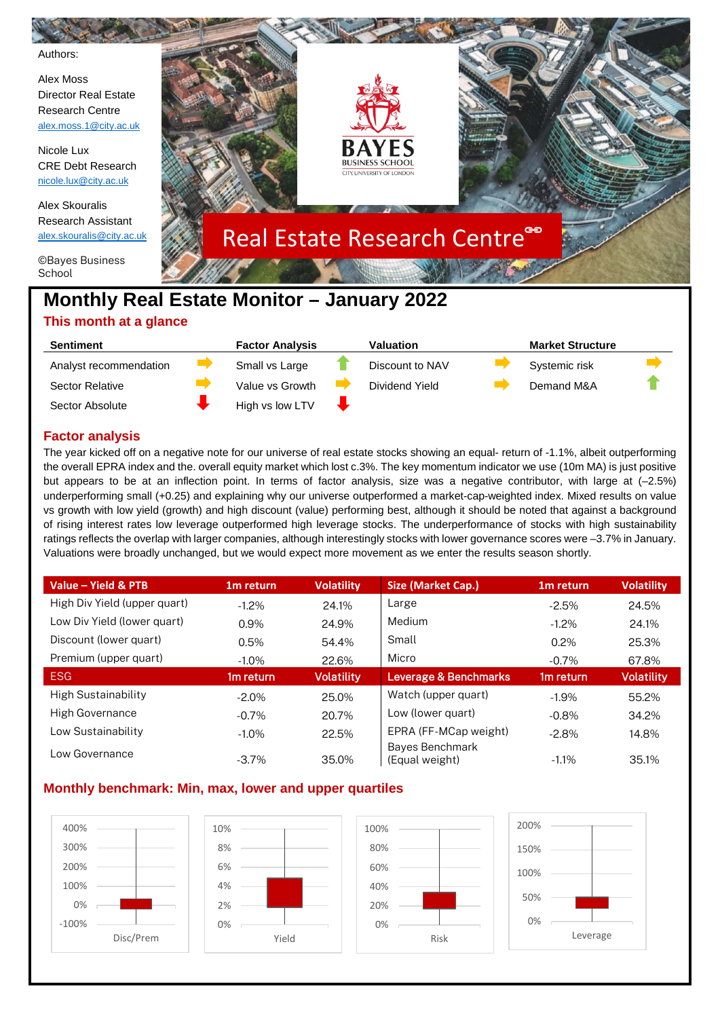

| Sentiment              | <b>Factor Analysis</b> | Valuation       | <b>Market Structure</b> |               |  |  |
|------------------------|------------------------|-----------------|-------------------------|---------------|--|--|
| Analyst recommendation |                        | Small vs Large  | Discount to NAV         | Systemic risk |  |  |
| Sector Relative        |                        | Value vs Growth | Dividend Yield          | Demand M&A    |  |  |
| Sector Absolute        |                        | High vs low LTV |                         |               |  |  |

# **Factor analysis**

The year kicked off on a negative note for our universe of real estate stocks showing an equal- return of -1.1%, albeit outperforming the overall EPRA index and the. overall equity market which lost c.3%. The key momentum indicator we use (10m MA) is just positive but appears to be at an inflection point. In terms of factor analysis, size was a negative contributor, with large at (–2.5%) underperforming small (+0.25) and explaining why our universe outperformed a market-cap-weighted index. Mixed results on value vs growth with low yield (growth) and high discount (value) performing best, although it should be noted that against a background of rising interest rates low leverage outperformed high leverage stocks. The underperformance of stocks with high sustainability ratings reflects the overlap with larger companies, although interestingly stocks with lower governance scores were –3.7% in January. Valuations were broadly unchanged, but we would expect more movement as we enter the results season shortly.

| Value - Yield & PTB          | 1 <sub>m</sub> return | <b>Volatility</b> | Size (Market Cap.)                | 1 <sub>m</sub> return | <b>Volatility</b> |
|------------------------------|-----------------------|-------------------|-----------------------------------|-----------------------|-------------------|
| High Div Yield (upper quart) | $-1.2%$               | 24.1%             | Large                             | $-2.5%$               | 24.5%             |
| Low Div Yield (lower quart)  | 0.9%                  | 24.9%             | Medium                            | $-1.2\%$              | 24.1%             |
| Discount (lower quart)       | 0.5%                  | 54.4%             | Small                             | 0.2%                  | 25.3%             |
| Premium (upper quart)        | $-1.0\%$              | 22.6%             | Micro                             | $-0.7%$               | 67.8%             |
| <b>ESG</b>                   | 1 <sub>m</sub> return | <b>Volatility</b> | Leverage & Benchmarks             | 1 <sub>m</sub> return | Volatility        |
| <b>High Sustainability</b>   | $-2.0\%$              | 25.0%             | Watch (upper quart)               | $-1.9%$               | 55.2%             |
| High Governance              | $-0.7\%$              | 20.7%             | Low (lower quart)                 | $-0.8%$               | 34.2%             |
| Low Sustainability           | $-1.0\%$              | 22.5%             | EPRA (FF-MCap weight)             | $-2.8%$               | 14.8%             |
| Low Governance               | $-3.7\%$              | 35.0%             | Bayes Benchmark<br>(Equal weight) | $-1.1\%$              | 35.1%             |

# **Monthly benchmark: Min, max, lower and upper quartiles**

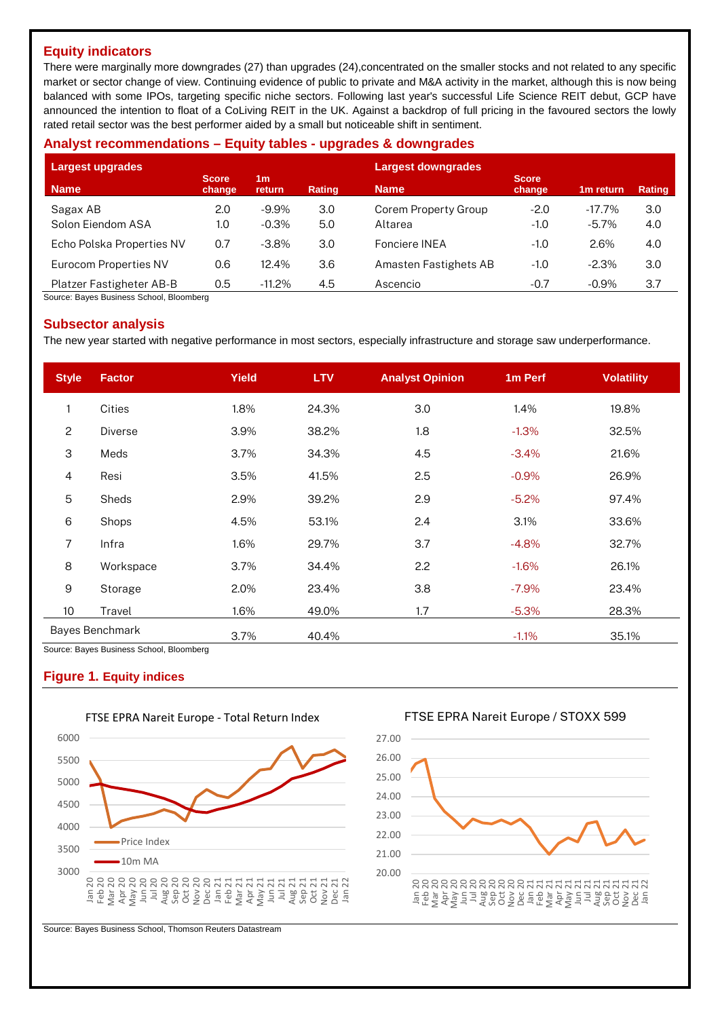# **Equity indicators**

There were marginally more downgrades (27) than upgrades (24),concentrated on the smaller stocks and not related to any specific market or sector change of view. Continuing evidence of public to private and M&A activity in the market, although this is now being balanced with some IPOs, targeting specific niche sectors. Following last year's successful Life Science REIT debut, GCP have announced the intention to float of a CoLiving REIT in the UK. Against a backdrop of full pricing in the favoured sectors the lowly rated retail sector was the best performer aided by a small but noticeable shift in sentiment.

## **Analyst recommendations – Equity tables - upgrades & downgrades**

| Largest upgrades          |                        |                                 |               | <b>Largest downgrades</b> |                        |                       |               |
|---------------------------|------------------------|---------------------------------|---------------|---------------------------|------------------------|-----------------------|---------------|
| <b>Name</b>               | <b>Score</b><br>change | 1 <sub>m</sub><br><b>return</b> | <b>Rating</b> | <b>Name</b>               | <b>Score</b><br>change | 1 <sub>m</sub> return | <b>Rating</b> |
| Sagax AB                  | 2.0                    | $-9.9\%$                        | 3.0           | Corem Property Group      | $-2.0$                 | $-17.7\%$             | 3.0           |
| Solon Eiendom ASA         | 1.0                    | $-0.3%$                         | 5.0           | Altarea                   | $-1.0$                 | $-5.7%$               | 4.0           |
| Echo Polska Properties NV | 0.7                    | $-3.8\%$                        | 3.0           | Fonciere INEA             | $-1.0$                 | 2.6%                  | 4.0           |
| Eurocom Properties NV     | 0.6                    | 12.4%                           | 3.6           | Amasten Fastighets AB     | $-1.0$                 | $-2.3%$               | 3.0           |
| Platzer Fastigheter AB-B  | 0.5                    | $-11.2\%$                       | 4.5           | Ascencio                  | $-0.7$                 | $-0.9\%$              | 3.7           |

Source: Bayes Business School, Bloomberg

## **Subsector analysis**

The new year started with negative performance in most sectors, especially infrastructure and storage saw underperformance.

| <b>Style</b>     | <b>Factor</b>                                               | <b>Yield</b> | <b>LTV</b> | <b>Analyst Opinion</b> | 1m Perf  | <b>Volatility</b> |
|------------------|-------------------------------------------------------------|--------------|------------|------------------------|----------|-------------------|
| $\mathbf{1}$     | Cities                                                      | 1.8%         | 24.3%      | 3.0                    | 1.4%     | 19.8%             |
| $\overline{c}$   | <b>Diverse</b>                                              | 3.9%         | 38.2%      | 1.8                    | $-1.3%$  | 32.5%             |
| 3                | Meds                                                        | 3.7%         | 34.3%      | 4.5                    | $-3.4%$  | 21.6%             |
| 4                | Resi                                                        | 3.5%         | 41.5%      | 2.5                    | $-0.9%$  | 26.9%             |
| 5                | Sheds                                                       | 2.9%         | 39.2%      | 2.9                    | $-5.2\%$ | 97.4%             |
| 6                | Shops                                                       | 4.5%         | 53.1%      | 2.4                    | 3.1%     | 33.6%             |
| 7                | Infra                                                       | 1.6%         | 29.7%      | 3.7                    | $-4.8%$  | 32.7%             |
| 8                | Workspace                                                   | 3.7%         | 34.4%      | 2.2                    | $-1.6%$  | 26.1%             |
| 9                | Storage                                                     | 2.0%         | 23.4%      | 3.8                    | $-7.9\%$ | 23.4%             |
| 10 <sup>10</sup> | Travel                                                      | 1.6%         | 49.0%      | 1.7                    | $-5.3%$  | 28.3%             |
|                  | Bayes Benchmark<br>Course: Dougo Duainese Cahael, Disemberg | 3.7%         | 40.4%      |                        | $-1.1%$  | 35.1%             |

Bayes Business School, Bloomberg

## **Figure 1. Equity indices**



## FTSE EPRA Nareit Europe - Total Return Index

FTSE EPRA Nareit Europe / STOXX 599



Source: Bayes Business School, Thomson Reuters Datastream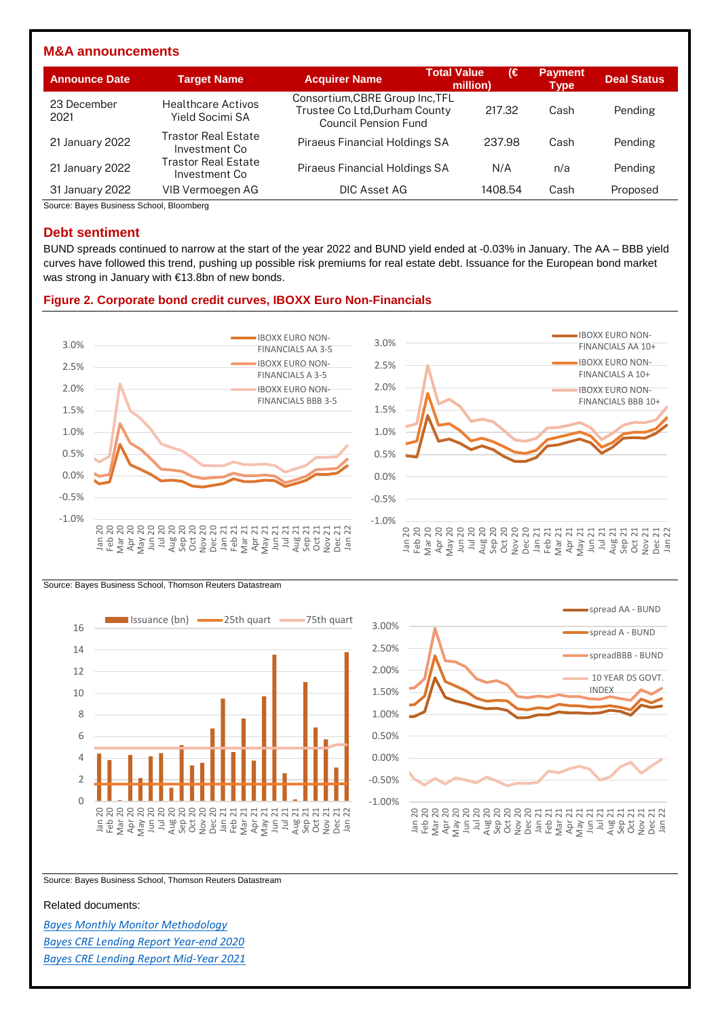## **M&A announcements**

| <b>Announce Date</b> | <b>Target Name</b>                           | <b>Acquirer Name</b>                                                                            | <b>Total Value</b><br>million) | ι€ | <b>Payment</b><br>Type | <b>Deal Status</b> |
|----------------------|----------------------------------------------|-------------------------------------------------------------------------------------------------|--------------------------------|----|------------------------|--------------------|
| 23 December<br>2021  | <b>Healthcare Activos</b><br>Yield Socimi SA | Consortium, CBRE Group Inc. TFL<br>Trustee Co Ltd, Durham County<br><b>Council Pension Fund</b> | 217.32                         |    | Cash                   | Pending            |
| 21 January 2022      | Trastor Real Estate<br>Investment Co         | Piraeus Financial Holdings SA                                                                   | 237.98                         |    | Cash                   | Pending            |
| 21 January 2022      | Trastor Real Estate<br>Investment Co         | Piraeus Financial Holdings SA                                                                   | N/A                            |    | n/a                    | Pending            |
| 31 January 2022      | VIB Vermoegen AG                             | DIC Asset AG                                                                                    | 1408.54                        |    | Cash                   | Proposed           |

Source: Bayes Business School, Bloomberg

## **Debt sentiment**

BUND spreads continued to narrow at the start of the year 2022 and BUND yield ended at -0.03% in January. The AA – BBB yield curves have followed this trend, pushing up possible risk premiums for real estate debt. Issuance for the European bond market was strong in January with €13.8bn of new bonds.

#### **Figure 2. Corporate bond credit curves, IBOXX Euro Non-Financials**









Source: Bayes Business School, Thomson Reuters Datastream

#### Related documents:

*[Bayes Monthly Monitor Methodology](https://www.bayes.city.ac.uk/__data/assets/pdf_file/0006/641157/bayes-market-monitor-methodology-document.pdf) [Bayes CRE Lending Report Year-end 2020](https://estore.city.ac.uk/product-catalogue/publications/publications/the-commercial-real-estate-lending-report-excel-data-package-yearend-2020) [Bayes CRE Lending Report Mid-Year 2021](https://estore.city.ac.uk/product-catalogue/publications/publications/the-commercial-real-estate-lending-report-excel-data-package-midyear-2021)*